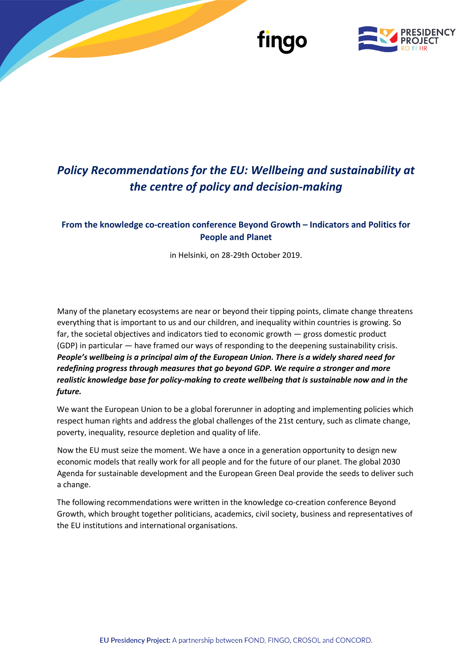

## *Policy Recommendations for the EU: Wellbeing and sustainability at the centre of policy and decision-making*

## **From the knowledge co-creation conference Beyond Growth – Indicators and Politics for People and Planet**

in Helsinki, on 28-29th October 2019.

Many of the planetary ecosystems are near or beyond their tipping points, climate change threatens everything that is important to us and our children, and inequality within countries is growing. So far, the societal objectives and indicators tied to economic growth — gross domestic product (GDP) in particular — have framed our ways of responding to the deepening sustainability crisis. *People's wellbeing is a principal aim of the European Union. There is a widely shared need for redefining progress through measures that go beyond GDP. We require a stronger and more realistic knowledge base for policy-making to create wellbeing that is sustainable now and in the future.*

We want the European Union to be a global forerunner in adopting and implementing policies which respect human rights and address the global challenges of the 21st century, such as climate change, poverty, inequality, resource depletion and quality of life.

Now the EU must seize the moment. We have a once in a generation opportunity to design new economic models that really work for all people and for the future of our planet. The global 2030 Agenda for sustainable development and the European Green Deal provide the seeds to deliver such a change.

The following recommendations were written in the knowledge co-creation conference Beyond Growth, which brought together politicians, academics, civil society, business and representatives of the EU institutions and international organisations.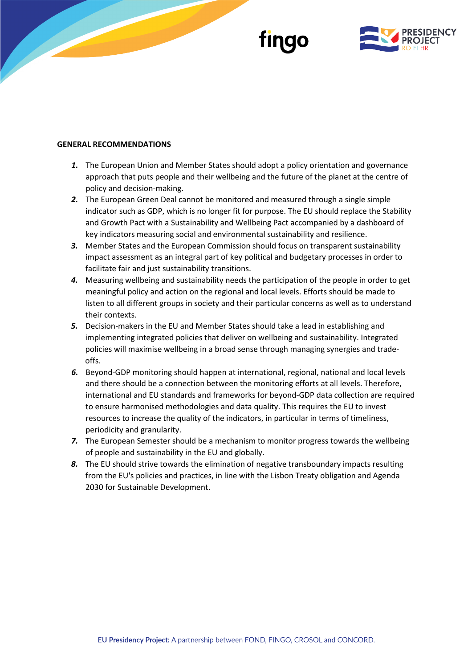

#### **GENERAL RECOMMENDATIONS**

- *1.* The European Union and Member States should adopt a policy orientation and governance approach that puts people and their wellbeing and the future of the planet at the centre of policy and decision-making.
- *2.* The European Green Deal cannot be monitored and measured through a single simple indicator such as GDP, which is no longer fit for purpose. The EU should replace the Stability and Growth Pact with a Sustainability and Wellbeing Pact accompanied by a dashboard of key indicators measuring social and environmental sustainability and resilience.
- *3.* Member States and the European Commission should focus on transparent sustainability impact assessment as an integral part of key political and budgetary processes in order to facilitate fair and just sustainability transitions.
- *4.* Measuring wellbeing and sustainability needs the participation of the people in order to get meaningful policy and action on the regional and local levels. Efforts should be made to listen to all different groups in society and their particular concerns as well as to understand their contexts.
- *5.* Decision-makers in the EU and Member States should take a lead in establishing and implementing integrated policies that deliver on wellbeing and sustainability. Integrated policies will maximise wellbeing in a broad sense through managing synergies and tradeoffs.
- *6.* Beyond-GDP monitoring should happen at international, regional, national and local levels and there should be a connection between the monitoring efforts at all levels. Therefore, international and EU standards and frameworks for beyond-GDP data collection are required to ensure harmonised methodologies and data quality. This requires the EU to invest resources to increase the quality of the indicators, in particular in terms of timeliness, periodicity and granularity.
- *7.* The European Semester should be a mechanism to monitor progress towards the wellbeing of people and sustainability in the EU and globally.
- *8.* The EU should strive towards the elimination of negative transboundary impacts resulting from the EU's policies and practices, in line with the Lisbon Treaty obligation and Agenda 2030 for Sustainable Development.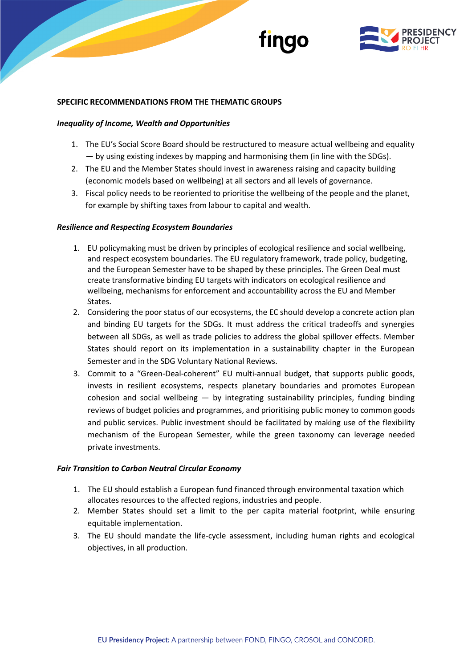



#### **SPECIFIC RECOMMENDATIONS FROM THE THEMATIC GROUPS**

#### *Inequality of Income, Wealth and Opportunities*

- 1. The EU's Social Score Board should be restructured to measure actual wellbeing and equality — by using existing indexes by mapping and harmonising them (in line with the SDGs).
- 2. The EU and the Member States should invest in awareness raising and capacity building (economic models based on wellbeing) at all sectors and all levels of governance.
- 3. Fiscal policy needs to be reoriented to prioritise the wellbeing of the people and the planet, for example by shifting taxes from labour to capital and wealth.

#### *Resilience and Respecting Ecosystem Boundaries*

- 1. EU policymaking must be driven by principles of ecological resilience and social wellbeing, and respect ecosystem boundaries. The EU regulatory framework, trade policy, budgeting, and the European Semester have to be shaped by these principles. The Green Deal must create transformative binding EU targets with indicators on ecological resilience and wellbeing, mechanisms for enforcement and accountability across the EU and Member States.
- 2. Considering the poor status of our ecosystems, the EC should develop a concrete action plan and binding EU targets for the SDGs. It must address the critical tradeoffs and synergies between all SDGs, as well as trade policies to address the global spillover effects. Member States should report on its implementation in a sustainability chapter in the European Semester and in the SDG Voluntary National Reviews.
- 3. Commit to a "Green-Deal-coherent" EU multi-annual budget, that supports public goods, invests in resilient ecosystems, respects planetary boundaries and promotes European cohesion and social wellbeing  $-$  by integrating sustainability principles, funding binding reviews of budget policies and programmes, and prioritising public money to common goods and public services. Public investment should be facilitated by making use of the flexibility mechanism of the European Semester, while the green taxonomy can leverage needed private investments.

#### *Fair Transition to Carbon Neutral Circular Economy*

- 1. The EU should establish a European fund financed through environmental taxation which allocates resources to the affected regions, industries and people.
- 2. Member States should set a limit to the per capita material footprint, while ensuring equitable implementation.
- 3. The EU should mandate the life-cycle assessment, including human rights and ecological objectives, in all production.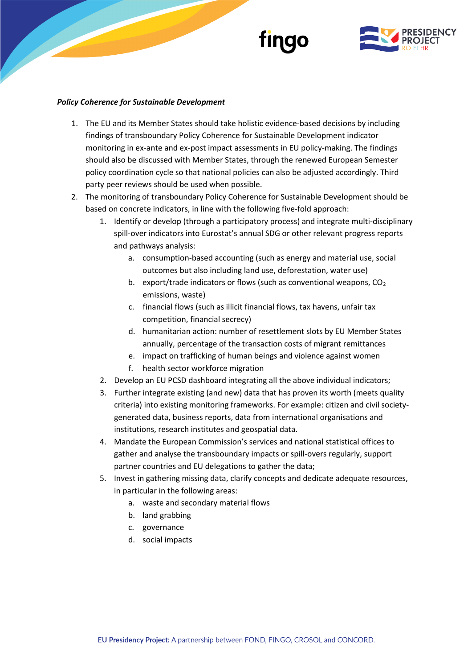



#### *Policy Coherence for Sustainable Development*

- 1. The EU and its Member States should take holistic evidence-based decisions by including findings of transboundary Policy Coherence for Sustainable Development indicator monitoring in ex-ante and ex-post impact assessments in EU policy-making. The findings should also be discussed with Member States, through the renewed European Semester policy coordination cycle so that national policies can also be adjusted accordingly. Third party peer reviews should be used when possible.
- 2. The monitoring of transboundary Policy Coherence for Sustainable Development should be based on concrete indicators, in line with the following five-fold approach:
	- 1. Identify or develop (through a participatory process) and integrate multi-disciplinary spill-over indicators into Eurostat's annual SDG or other relevant progress reports and pathways analysis:
		- a. consumption-based accounting (such as energy and material use, social outcomes but also including land use, deforestation, water use)
		- b. export/trade indicators or flows (such as conventional weapons,  $CO<sub>2</sub>$ emissions, waste)
		- c. financial flows (such as illicit financial flows, tax havens, unfair tax competition, financial secrecy)
		- d. humanitarian action: number of resettlement slots by EU Member States annually, percentage of the transaction costs of migrant remittances
		- e. impact on trafficking of human beings and violence against women
		- f. health sector workforce migration
	- 2. Develop an EU PCSD dashboard integrating all the above individual indicators;
	- 3. Further integrate existing (and new) data that has proven its worth (meets quality criteria) into existing monitoring frameworks. For example: citizen and civil societygenerated data, business reports, data from international organisations and institutions, research institutes and geospatial data.
	- 4. Mandate the European Commission's services and national statistical offices to gather and analyse the transboundary impacts or spill-overs regularly, support partner countries and EU delegations to gather the data;
	- 5. Invest in gathering missing data, clarify concepts and dedicate adequate resources, in particular in the following areas:
		- a. waste and secondary material flows
		- b. land grabbing
		- c. governance
		- d. social impacts